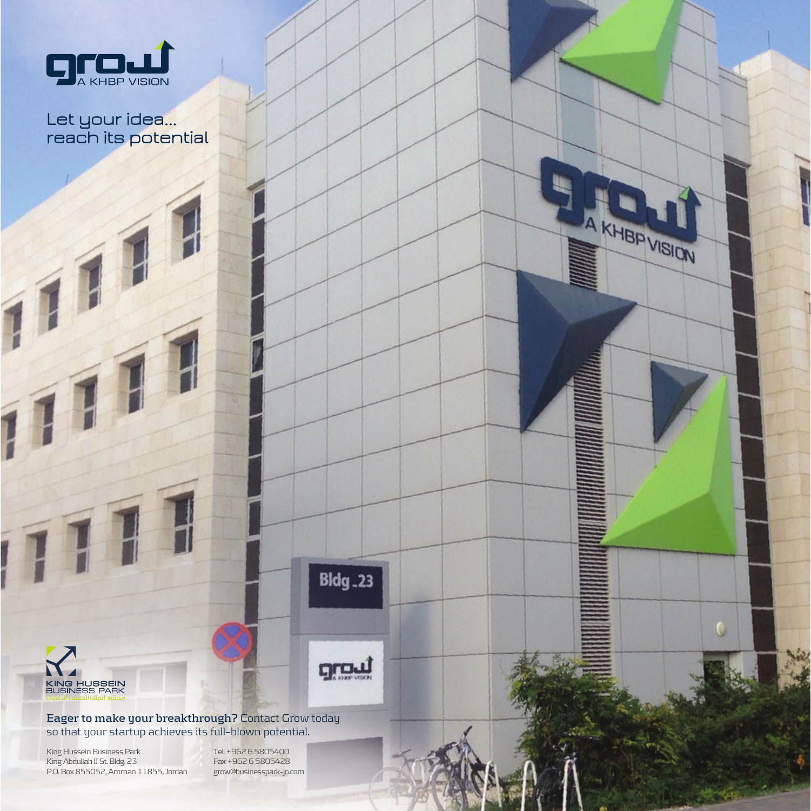

## **Let your idea... reach its potential**



**Eager to make your breakthrough?** Contact Grow today so that your startup achieves its full–blown potential.

King Hussein Business Park King Abdullah II St. Bldg. 23 P.O. Box 855052, Amman 11855, Jordan

Tel. +962 6 5805400 Fax +962 6 5805428 grow@businesspark–jo.com **Bldg.23** 

<u>groul</u>

A KHBP VISION